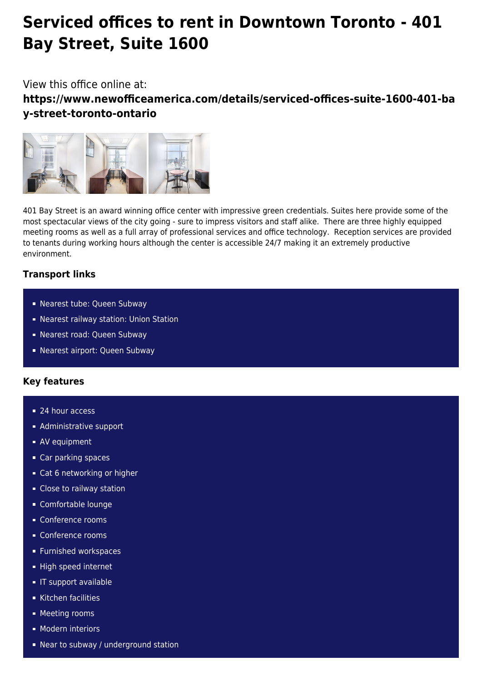# **Serviced offices to rent in Downtown Toronto - 401 Bay Street, Suite 1600**

View this office online at:

**https://www.newofficeamerica.com/details/serviced-offices-suite-1600-401-ba y-street-toronto-ontario**



401 Bay Street is an award winning office center with impressive green credentials. Suites here provide some of the most spectacular views of the city going - sure to impress visitors and staff alike. There are three highly equipped meeting rooms as well as a full array of professional services and office technology. Reception services are provided to tenants during working hours although the center is accessible 24/7 making it an extremely productive environment.

## **Transport links**

- Nearest tube: Queen Subway
- Nearest railway station: Union Station
- **Nearest road: Queen Subway**
- Nearest airport: Queen Subway

### **Key features**

- 24 hour access
- **Administrative support**
- **AV** equipment
- Car parking spaces
- Cat 6 networking or higher
- **Close to railway station**
- Comfortable lounge
- Conference rooms
- Conference rooms
- **Furnished workspaces**
- High speed internet
- **IF support available**
- Kitchen facilities
- **Meeting rooms**
- **Modern interiors**
- Near to subway / underground station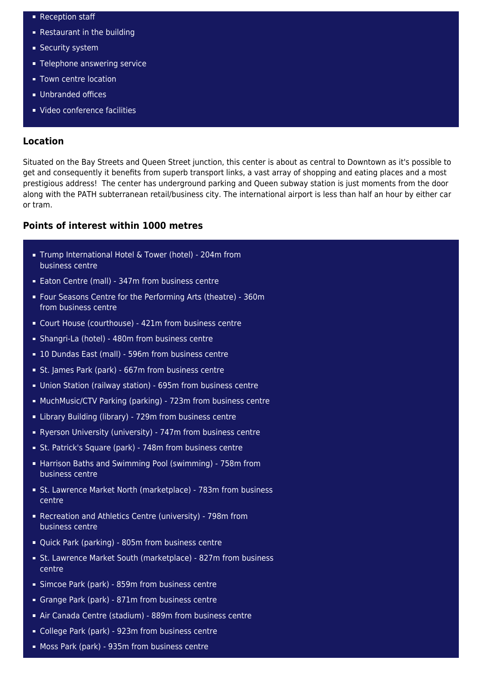- Reception staff
- **Restaurant in the building**
- **Security system**
- **Telephone answering service**
- **Town centre location**
- **Unbranded offices**
- Video conference facilities

#### **Location**

Situated on the Bay Streets and Queen Street junction, this center is about as central to Downtown as it's possible to get and consequently it benefits from superb transport links, a vast array of shopping and eating places and a most prestigious address! The center has underground parking and Queen subway station is just moments from the door along with the PATH subterranean retail/business city. The international airport is less than half an hour by either car or tram.

#### **Points of interest within 1000 metres**

- Trump International Hotel & Tower (hotel) 204m from business centre
- **Eaton Centre (mall) 347m from business centre**
- Four Seasons Centre for the Performing Arts (theatre) 360m from business centre
- Court House (courthouse) 421m from business centre
- Shangri-La (hotel) 480m from business centre
- 10 Dundas East (mall) 596m from business centre
- St. James Park (park) 667m from business centre
- Union Station (railway station) 695m from business centre
- MuchMusic/CTV Parking (parking) 723m from business centre
- **E** Library Building (library) 729m from business centre
- Ryerson University (university) 747m from business centre
- St. Patrick's Square (park) 748m from business centre
- Harrison Baths and Swimming Pool (swimming) 758m from business centre
- St. Lawrence Market North (marketplace) 783m from business centre
- Recreation and Athletics Centre (university) 798m from business centre
- Quick Park (parking) 805m from business centre
- St. Lawrence Market South (marketplace) 827m from business centre
- Simcoe Park (park) 859m from business centre
- Grange Park (park) 871m from business centre
- Air Canada Centre (stadium) 889m from business centre
- College Park (park) 923m from business centre
- Moss Park (park) 935m from business centre